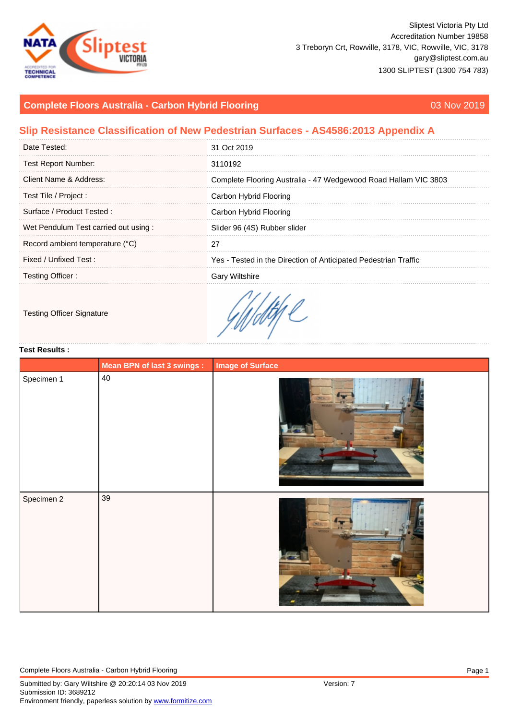# Complete Floors Australia - Carbon Hybrid Flooring 03 Nov 2019

## Slip Resistance Classification of New Pedestrian Surfaces - AS4586:2013 Appendix A

| Date Tested:                         | 31 Oct 2019                                                     |
|--------------------------------------|-----------------------------------------------------------------|
| <b>Test Report Number:</b>           | 3110192                                                         |
| Client Name & Address:               | Complete Flooring Australia - 47 Wedgewood Road Hallam VIC 3803 |
| Test Tile / Project :                | Carbon Hybrid Flooring                                          |
| Surface / Product Tested:            | Carbon Hybrid Flooring                                          |
| Wet Pendulum Test carried out using: | Slider 96 (4S) Rubber slider                                    |
| Record ambient temperature (°C)      |                                                                 |
| Fixed / Unfixed Test:                | Yes - Tested in the Direction of Anticipated Pedestrian Traffic |
| Testing Officer:                     | <b>Gary Wiltshire</b>                                           |
|                                      |                                                                 |

## Testing Officer Signature

### Test Results :

|            | Mean BPN of last 3 swings : | Image of Surface |
|------------|-----------------------------|------------------|
| Specimen 1 | $40\,$                      |                  |
|            |                             |                  |
|            |                             |                  |
|            |                             |                  |
|            |                             |                  |
|            |                             |                  |
|            |                             |                  |
|            |                             |                  |
| Specimen 2 | 39                          |                  |
|            |                             |                  |
|            |                             |                  |
|            |                             |                  |
|            |                             |                  |
|            |                             |                  |
|            |                             |                  |
|            |                             |                  |
|            |                             |                  |